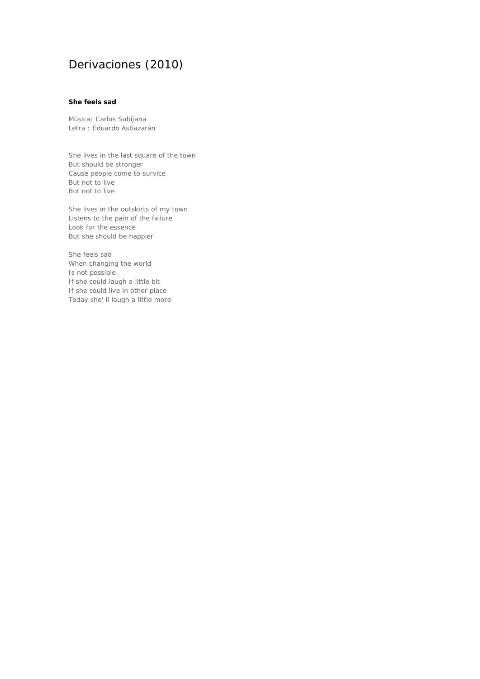# Derivaciones (2010)

## **She feels sad**

Música: Carlos Subijana Letra : Eduardo Astiazarán

She lives in the last square of the town But should be stronger Cause people come to survice But not to live But not to live

She lives in the outskirts of my town Listens to the pain of the failure Look for the essence But she should be happier

She feels sad When changing the world Is not possible If she could laugh a little bit If she could live in other place Today she' ll laugh a little more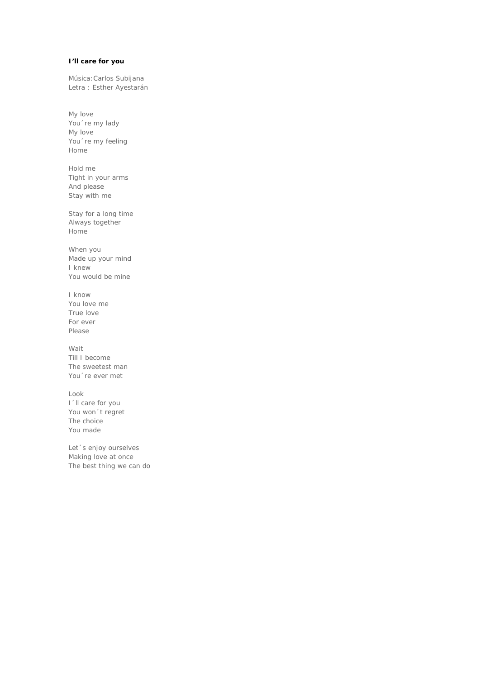## **I'll care for you**

Música:Carlos Subijana Letra : Esther Ayestarán

My love You´re my lady My love You 're my feeling Home

Hold me Tight in your arms And please Stay with me

Stay for a long time Always together Home

When you Made up your mind I knew You would be mine

I know You love me True love For ever Please

Wait Till I become The sweetest man You´re ever met

Look I´ll care for you You won´t regret The choice You made

Let´s enjoy ourselves Making love at once The best thing we can do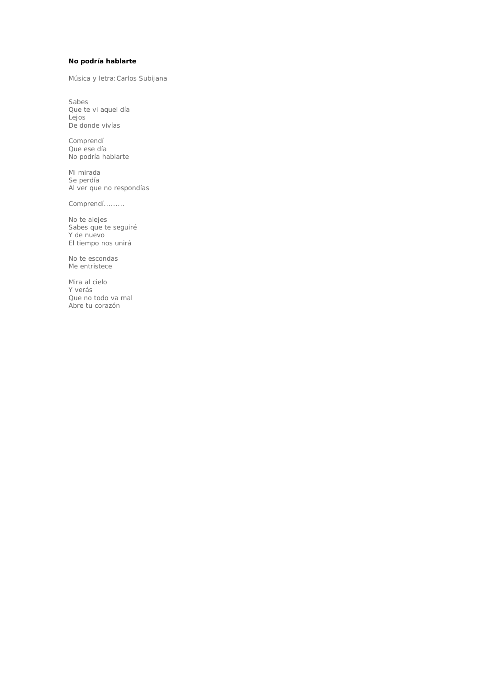### **No podría hablarte**

Música y letra:Carlos Subijana

Sabes Que te vi aquel día Lejos De donde vivías

Comprendí Que ese día No podría hablarte

Mi mirada Se perdía Al ver que no respondías

Comprendí.........

No te alejes Sabes que te seguiré Y de nuevo El tiempo nos unirá

No te escondas Me entristece

Mira al cielo Y verás Que no todo va mal Abre tu corazón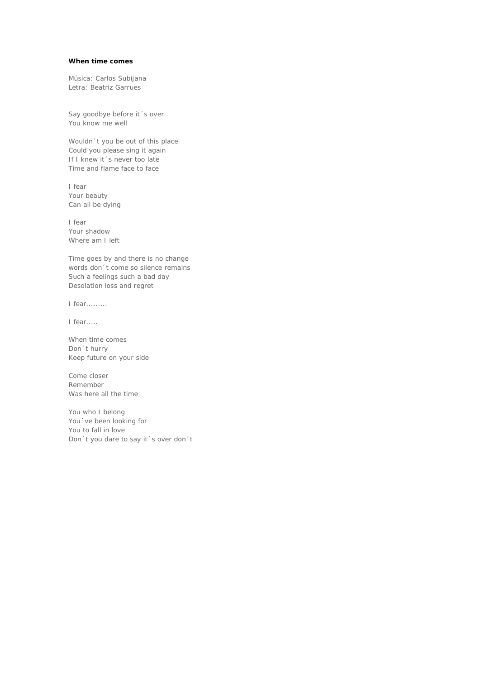#### **When time comes**

Música: Carlos Subijana Letra: Beatriz Garrues

Say goodbye before it´s over You know me well

Wouldn´t you be out of this place Could you please sing it again If I knew it's never too late Time and flame face to face

I fear Your beauty Can all be dying

I fear Your shadow Where am I left

Time goes by and there is no change words don´t come so silence remains Such a feelings such a bad day Desolation loss and regret

I fear.........

I fear.....

When time comes Don´t hurry Keep future on your side

Come closer Remember Was here all the time

You who I belong You´ve been looking for You to fall in love Don´t you dare to say it´s over don´t